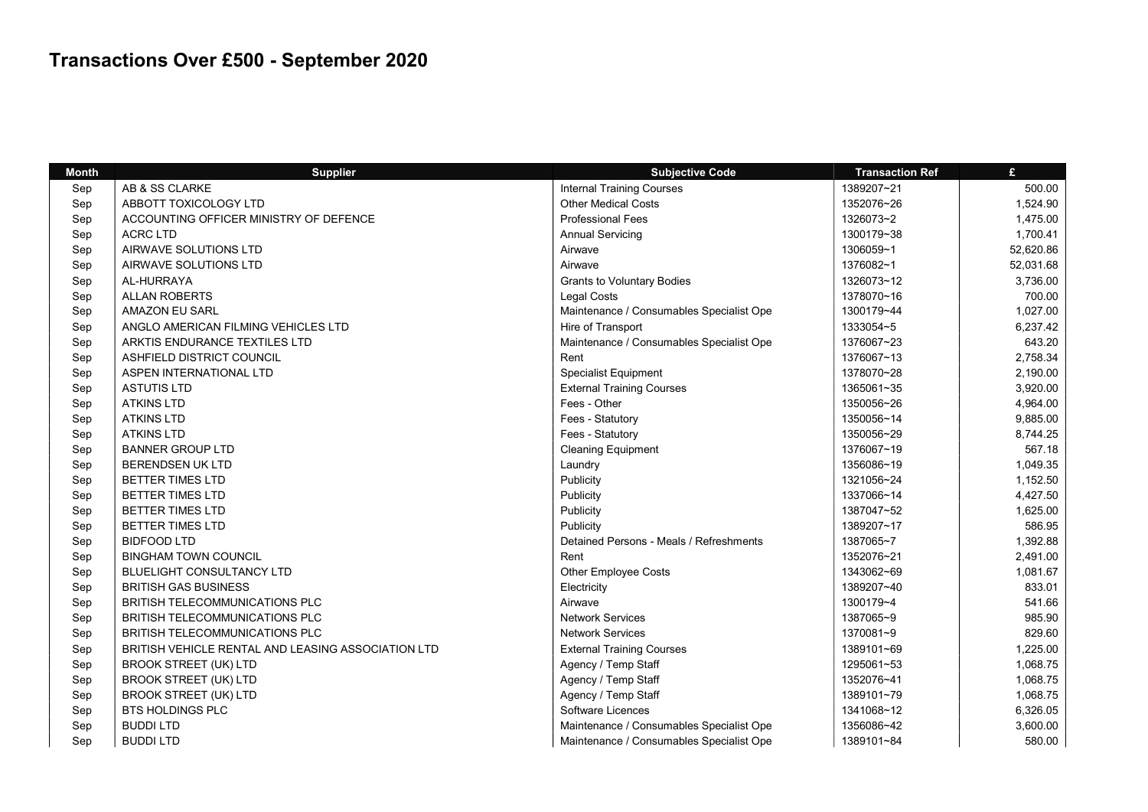| <b>Month</b> | Supplier                                           | <b>Subjective Code</b>                   | <b>Transaction Ref</b> | £         |
|--------------|----------------------------------------------------|------------------------------------------|------------------------|-----------|
| Sep          | AB & SS CLARKE                                     | <b>Internal Training Courses</b>         | 1389207~21             | 500.00    |
| Sep          | ABBOTT TOXICOLOGY LTD                              | <b>Other Medical Costs</b>               | 1352076~26             | 1,524.90  |
| Sep          | ACCOUNTING OFFICER MINISTRY OF DEFENCE             | <b>Professional Fees</b>                 | 1326073~2              | 1,475.00  |
| Sep          | <b>ACRC LTD</b>                                    | <b>Annual Servicing</b>                  | 1300179~38             | 1,700.41  |
| Sep          | AIRWAVE SOLUTIONS LTD                              | Airwave                                  | 1306059~1              | 52,620.86 |
| Sep          | AIRWAVE SOLUTIONS LTD                              | Airwave                                  | 1376082~1              | 52,031.68 |
| Sep          | AL-HURRAYA                                         | <b>Grants to Voluntary Bodies</b>        | 1326073~12             | 3,736.00  |
| Sep          | <b>ALLAN ROBERTS</b>                               | <b>Legal Costs</b>                       | 1378070~16             | 700.00    |
| Sep          | <b>AMAZON EU SARL</b>                              | Maintenance / Consumables Specialist Ope | 1300179~44             | 1,027.00  |
| Sep          | ANGLO AMERICAN FILMING VEHICLES LTD                | Hire of Transport                        | 1333054~5              | 6,237.42  |
| Sep          | ARKTIS ENDURANCE TEXTILES LTD                      | Maintenance / Consumables Specialist Ope | 1376067~23             | 643.20    |
| Sep          | ASHFIELD DISTRICT COUNCIL                          | Rent                                     | 1376067~13             | 2,758.34  |
| Sep          | ASPEN INTERNATIONAL LTD                            | <b>Specialist Equipment</b>              | 1378070~28             | 2,190.00  |
| Sep          | <b>ASTUTIS LTD</b>                                 | <b>External Training Courses</b>         | 1365061~35             | 3,920.00  |
| Sep          | <b>ATKINS LTD</b>                                  | Fees - Other                             | 1350056~26             | 4,964.00  |
| Sep          | <b>ATKINS LTD</b>                                  | Fees - Statutory                         | 1350056~14             | 9,885.00  |
| Sep          | <b>ATKINS LTD</b>                                  | Fees - Statutory                         | 1350056~29             | 8,744.25  |
| Sep          | <b>BANNER GROUP LTD</b>                            | <b>Cleaning Equipment</b>                | 1376067~19             | 567.18    |
| Sep          | <b>BERENDSEN UK LTD</b>                            | Laundry                                  | 1356086~19             | 1,049.35  |
| Sep          | <b>BETTER TIMES LTD</b>                            | Publicity                                | 1321056~24             | 1,152.50  |
| Sep          | <b>BETTER TIMES LTD</b>                            | Publicity                                | 1337066~14             | 4,427.50  |
| Sep          | BETTER TIMES LTD                                   | Publicity                                | 1387047~52             | 1,625.00  |
| Sep          | <b>BETTER TIMES LTD</b>                            | Publicity                                | 1389207~17             | 586.95    |
| Sep          | <b>BIDFOOD LTD</b>                                 | Detained Persons - Meals / Refreshments  | 1387065~7              | 1,392.88  |
| Sep          | <b>BINGHAM TOWN COUNCIL</b>                        | Rent                                     | 1352076~21             | 2,491.00  |
| Sep          | BLUELIGHT CONSULTANCY LTD                          | Other Employee Costs                     | 1343062~69             | 1,081.67  |
| Sep          | <b>BRITISH GAS BUSINESS</b>                        | Electricity                              | 1389207~40             | 833.01    |
| Sep          | BRITISH TELECOMMUNICATIONS PLC                     | Airwave                                  | 1300179~4              | 541.66    |
| Sep          | BRITISH TELECOMMUNICATIONS PLC                     | <b>Network Services</b>                  | 1387065~9              | 985.90    |
| Sep          | BRITISH TELECOMMUNICATIONS PLC                     | <b>Network Services</b>                  | 1370081~9              | 829.60    |
| Sep          | BRITISH VEHICLE RENTAL AND LEASING ASSOCIATION LTD | <b>External Training Courses</b>         | 1389101~69             | 1,225.00  |
| Sep          | <b>BROOK STREET (UK) LTD</b>                       | Agency / Temp Staff                      | 1295061~53             | 1,068.75  |
| Sep          | <b>BROOK STREET (UK) LTD</b>                       | Agency / Temp Staff                      | 1352076~41             | 1,068.75  |
| Sep          | <b>BROOK STREET (UK) LTD</b>                       | Agency / Temp Staff                      | 1389101~79             | 1,068.75  |
| Sep          | <b>BTS HOLDINGS PLC</b>                            | Software Licences                        | 1341068~12             | 6,326.05  |
| Sep          | <b>BUDDI LTD</b>                                   | Maintenance / Consumables Specialist Ope | 1356086~42             | 3,600.00  |
| Sep          | <b>BUDDI LTD</b>                                   | Maintenance / Consumables Specialist Ope | 1389101~84             | 580.00    |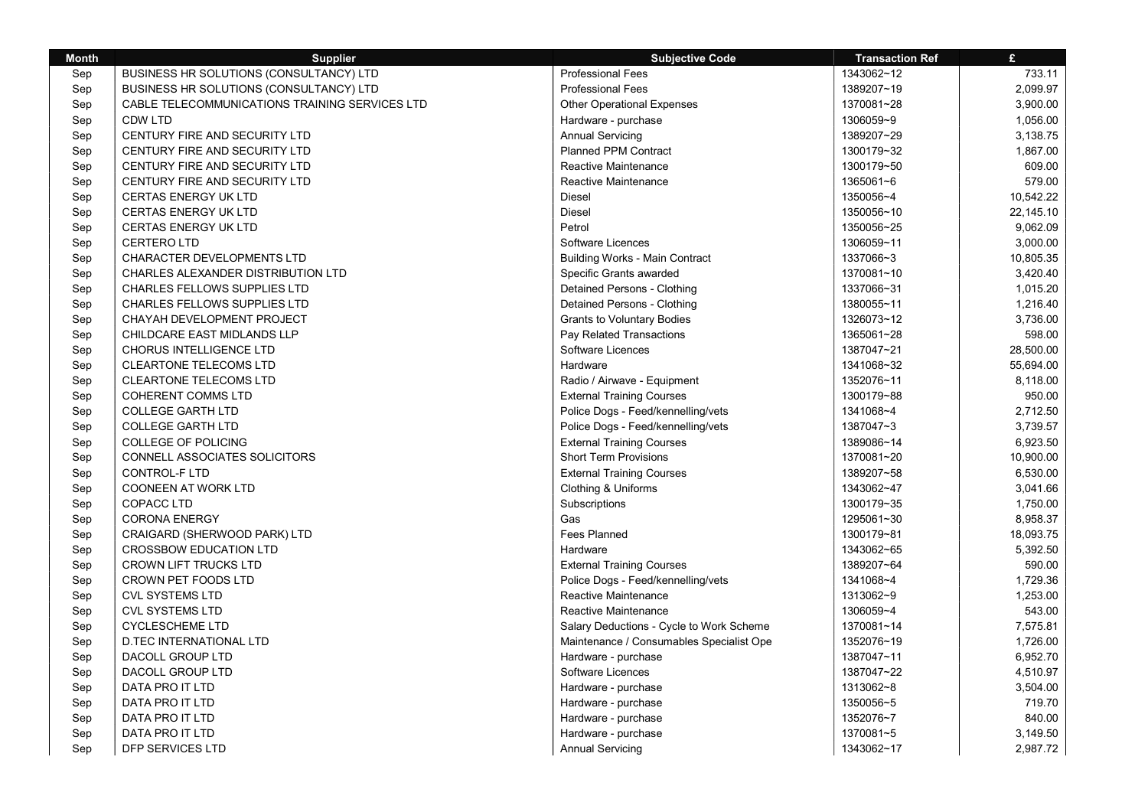| <b>Month</b> | <b>Supplier</b>                                | <b>Subjective Code</b>                   | <b>Transaction Ref</b> | $\mathbf{f}$ |
|--------------|------------------------------------------------|------------------------------------------|------------------------|--------------|
| Sep          | BUSINESS HR SOLUTIONS (CONSULTANCY) LTD        | <b>Professional Fees</b>                 | 1343062~12             | 733.11       |
| Sep          | BUSINESS HR SOLUTIONS (CONSULTANCY) LTD        | <b>Professional Fees</b>                 | 1389207~19             | 2,099.97     |
| Sep          | CABLE TELECOMMUNICATIONS TRAINING SERVICES LTD | <b>Other Operational Expenses</b>        | 1370081~28             | 3,900.00     |
| Sep          | <b>CDW LTD</b>                                 | Hardware - purchase                      | 1306059~9              | 1,056.00     |
| Sep          | CENTURY FIRE AND SECURITY LTD                  | <b>Annual Servicing</b>                  | 1389207~29             | 3,138.75     |
| Sep          | CENTURY FIRE AND SECURITY LTD                  | <b>Planned PPM Contract</b>              | 1300179~32             | 1,867.00     |
| Sep          | CENTURY FIRE AND SECURITY LTD                  | Reactive Maintenance                     | 1300179~50             | 609.00       |
| Sep          | CENTURY FIRE AND SECURITY LTD                  | Reactive Maintenance                     | 1365061~6              | 579.00       |
| Sep          | CERTAS ENERGY UK LTD                           | <b>Diesel</b>                            | 1350056~4              | 10,542.22    |
| Sep          | <b>CERTAS ENERGY UK LTD</b>                    | Diesel                                   | 1350056~10             | 22,145.10    |
| Sep          | <b>CERTAS ENERGY UK LTD</b>                    | Petrol                                   | 1350056~25             | 9,062.09     |
| Sep          | <b>CERTERO LTD</b>                             | Software Licences                        | 1306059~11             | 3,000.00     |
| Sep          | <b>CHARACTER DEVELOPMENTS LTD</b>              | <b>Building Works - Main Contract</b>    | 1337066~3              | 10,805.35    |
| Sep          | CHARLES ALEXANDER DISTRIBUTION LTD             | Specific Grants awarded                  | 1370081~10             | 3,420.40     |
| Sep          | CHARLES FELLOWS SUPPLIES LTD                   | Detained Persons - Clothing              | 1337066~31             | 1,015.20     |
| Sep          | CHARLES FELLOWS SUPPLIES LTD                   | Detained Persons - Clothing              | 1380055~11             | 1,216.40     |
| Sep          | CHAYAH DEVELOPMENT PROJECT                     | <b>Grants to Voluntary Bodies</b>        | 1326073~12             | 3,736.00     |
| Sep          | CHILDCARE EAST MIDLANDS LLP                    | Pay Related Transactions                 | 1365061~28             | 598.00       |
| Sep          | CHORUS INTELLIGENCE LTD                        | Software Licences                        | 1387047~21             | 28,500.00    |
| Sep          | <b>CLEARTONE TELECOMS LTD</b>                  | Hardware                                 | 1341068~32             | 55,694.00    |
| Sep          | <b>CLEARTONE TELECOMS LTD</b>                  | Radio / Airwave - Equipment              | 1352076~11             | 8,118.00     |
| Sep          | <b>COHERENT COMMS LTD</b>                      | <b>External Training Courses</b>         | 1300179~88             | 950.00       |
| Sep          | <b>COLLEGE GARTH LTD</b>                       | Police Dogs - Feed/kennelling/vets       | 1341068~4              | 2,712.50     |
|              | <b>COLLEGE GARTH LTD</b>                       | Police Dogs - Feed/kennelling/vets       | 1387047~3              | 3,739.57     |
| Sep          |                                                |                                          | 1389086~14             |              |
| Sep          | COLLEGE OF POLICING                            | <b>External Training Courses</b>         |                        | 6,923.50     |
| Sep          | CONNELL ASSOCIATES SOLICITORS                  | <b>Short Term Provisions</b>             | 1370081~20             | 10,900.00    |
| Sep          | <b>CONTROL-F LTD</b>                           | <b>External Training Courses</b>         | 1389207~58             | 6,530.00     |
| Sep          | COONEEN AT WORK LTD                            | Clothing & Uniforms                      | 1343062~47             | 3,041.66     |
| Sep          | <b>COPACC LTD</b>                              | Subscriptions                            | 1300179~35             | 1,750.00     |
| Sep          | <b>CORONA ENERGY</b>                           | Gas                                      | 1295061~30             | 8,958.37     |
| Sep          | CRAIGARD (SHERWOOD PARK) LTD                   | Fees Planned                             | 1300179~81             | 18,093.75    |
| Sep          | <b>CROSSBOW EDUCATION LTD</b>                  | Hardware                                 | 1343062~65             | 5,392.50     |
| Sep          | <b>CROWN LIFT TRUCKS LTD</b>                   | <b>External Training Courses</b>         | 1389207~64             | 590.00       |
| Sep          | CROWN PET FOODS LTD                            | Police Dogs - Feed/kennelling/vets       | 1341068~4              | 1,729.36     |
| Sep          | <b>CVL SYSTEMS LTD</b>                         | Reactive Maintenance                     | 1313062~9              | 1,253.00     |
| Sep          | <b>CVL SYSTEMS LTD</b>                         | Reactive Maintenance                     | 1306059~4              | 543.00       |
| Sep          | <b>CYCLESCHEME LTD</b>                         | Salary Deductions - Cycle to Work Scheme | 1370081~14             | 7,575.81     |
| Sep          | D.TEC INTERNATIONAL LTD                        | Maintenance / Consumables Specialist Ope | 1352076~19             | 1,726.00     |
| Sep          | DACOLL GROUP LTD                               | Hardware - purchase                      | 1387047~11             | 6,952.70     |
| Sep          | DACOLL GROUP LTD                               | Software Licences                        | 1387047~22             | 4,510.97     |
| Sep          | DATA PRO IT LTD                                | Hardware - purchase                      | 1313062~8              | 3,504.00     |
| Sep          | DATA PRO IT LTD                                | Hardware - purchase                      | 1350056~5              | 719.70       |
| Sep          | DATA PRO IT LTD                                | Hardware - purchase                      | 1352076~7              | 840.00       |
| Sep          | DATA PRO IT LTD                                | Hardware - purchase                      | 1370081~5              | 3,149.50     |
| Sep          | DFP SERVICES LTD                               | <b>Annual Servicing</b>                  | 1343062~17             | 2,987.72     |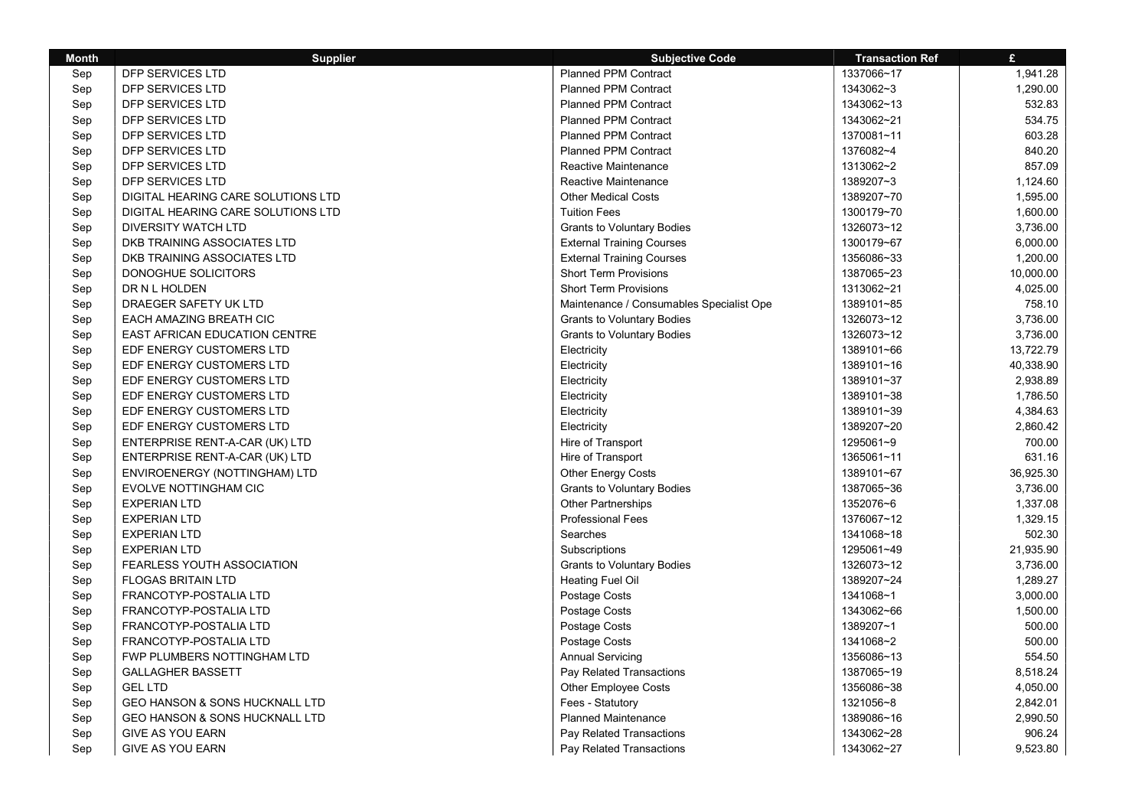| <b>Month</b> | <b>Supplier</b>                           | <b>Subjective Code</b>                   | <b>Transaction Ref</b> | £         |
|--------------|-------------------------------------------|------------------------------------------|------------------------|-----------|
| Sep          | DFP SERVICES LTD                          | <b>Planned PPM Contract</b>              | 1337066~17             | 1,941.28  |
| Sep          | DFP SERVICES LTD                          | <b>Planned PPM Contract</b>              | 1343062~3              | 1,290.00  |
| Sep          | DFP SERVICES LTD                          | <b>Planned PPM Contract</b>              | 1343062~13             | 532.83    |
| Sep          | DFP SERVICES LTD                          | <b>Planned PPM Contract</b>              | 1343062~21             | 534.75    |
| Sep          | DFP SERVICES LTD                          | <b>Planned PPM Contract</b>              | 1370081~11             | 603.28    |
| Sep          | DFP SERVICES LTD                          | <b>Planned PPM Contract</b>              | 1376082~4              | 840.20    |
| Sep          | DFP SERVICES LTD                          | <b>Reactive Maintenance</b>              | 1313062~2              | 857.09    |
| Sep          | <b>DFP SERVICES LTD</b>                   | <b>Reactive Maintenance</b>              | 1389207~3              | 1,124.60  |
| Sep          | DIGITAL HEARING CARE SOLUTIONS LTD        | <b>Other Medical Costs</b>               | 1389207~70             | 1,595.00  |
| Sep          | DIGITAL HEARING CARE SOLUTIONS LTD        | <b>Tuition Fees</b>                      | 1300179~70             | 1,600.00  |
| Sep          | <b>DIVERSITY WATCH LTD</b>                | <b>Grants to Voluntary Bodies</b>        | 1326073~12             | 3,736.00  |
| Sep          | DKB TRAINING ASSOCIATES LTD               | <b>External Training Courses</b>         | 1300179~67             | 6,000.00  |
| Sep          | DKB TRAINING ASSOCIATES LTD               | <b>External Training Courses</b>         | 1356086~33             | 1,200.00  |
| Sep          | DONOGHUE SOLICITORS                       | <b>Short Term Provisions</b>             | 1387065~23             | 10,000.00 |
| Sep          | DR N L HOLDEN                             | <b>Short Term Provisions</b>             | 1313062~21             | 4,025.00  |
| Sep          | DRAEGER SAFETY UK LTD                     | Maintenance / Consumables Specialist Ope | 1389101~85             | 758.10    |
| Sep          | EACH AMAZING BREATH CIC                   | <b>Grants to Voluntary Bodies</b>        | 1326073~12             | 3,736.00  |
| Sep          | <b>EAST AFRICAN EDUCATION CENTRE</b>      | <b>Grants to Voluntary Bodies</b>        | 1326073~12             | 3,736.00  |
| Sep          | EDF ENERGY CUSTOMERS LTD                  | Electricity                              | 1389101~66             | 13,722.79 |
| Sep          | EDF ENERGY CUSTOMERS LTD                  | Electricity                              | 1389101~16             | 40,338.90 |
| Sep          | EDF ENERGY CUSTOMERS LTD                  | Electricity                              | 1389101~37             | 2,938.89  |
| Sep          | EDF ENERGY CUSTOMERS LTD                  | Electricity                              | 1389101~38             | 1,786.50  |
| Sep          | EDF ENERGY CUSTOMERS LTD                  | Electricity                              | 1389101~39             | 4,384.63  |
| Sep          | EDF ENERGY CUSTOMERS LTD                  | Electricity                              | 1389207~20             | 2,860.42  |
| Sep          | ENTERPRISE RENT-A-CAR (UK) LTD            | Hire of Transport                        | 1295061~9              | 700.00    |
| Sep          | ENTERPRISE RENT-A-CAR (UK) LTD            | Hire of Transport                        | 1365061~11             | 631.16    |
| Sep          | ENVIROENERGY (NOTTINGHAM) LTD             | <b>Other Energy Costs</b>                | 1389101~67             | 36,925.30 |
| Sep          | EVOLVE NOTTINGHAM CIC                     | <b>Grants to Voluntary Bodies</b>        | 1387065~36             | 3,736.00  |
| Sep          | <b>EXPERIAN LTD</b>                       | <b>Other Partnerships</b>                | 1352076~6              | 1,337.08  |
| Sep          | <b>EXPERIAN LTD</b>                       | <b>Professional Fees</b>                 | 1376067~12             | 1,329.15  |
| Sep          | <b>EXPERIAN LTD</b>                       | Searches                                 | 1341068~18             | 502.30    |
| Sep          | <b>EXPERIAN LTD</b>                       | Subscriptions                            | 1295061~49             | 21,935.90 |
| Sep          | FEARLESS YOUTH ASSOCIATION                | <b>Grants to Voluntary Bodies</b>        | 1326073~12             | 3,736.00  |
| Sep          | <b>FLOGAS BRITAIN LTD</b>                 | <b>Heating Fuel Oil</b>                  | 1389207~24             | 1,289.27  |
| Sep          | FRANCOTYP-POSTALIA LTD                    | Postage Costs                            | 1341068~1              | 3,000.00  |
| Sep          | FRANCOTYP-POSTALIA LTD                    | Postage Costs                            | 1343062~66             | 1,500.00  |
| Sep          | FRANCOTYP-POSTALIA LTD                    | Postage Costs                            | 1389207~1              | 500.00    |
| Sep          | FRANCOTYP-POSTALIA LTD                    | Postage Costs                            | 1341068~2              | 500.00    |
| Sep          | FWP PLUMBERS NOTTINGHAM LTD               | <b>Annual Servicing</b>                  | 1356086~13             | 554.50    |
| Sep          | <b>GALLAGHER BASSETT</b>                  | Pay Related Transactions                 | 1387065~19             | 8,518.24  |
| Sep          | <b>GEL LTD</b>                            | <b>Other Employee Costs</b>              | 1356086~38             | 4,050.00  |
| Sep          | <b>GEO HANSON &amp; SONS HUCKNALL LTD</b> | Fees - Statutory                         | 1321056~8              | 2,842.01  |
| Sep          | <b>GEO HANSON &amp; SONS HUCKNALL LTD</b> | <b>Planned Maintenance</b>               | 1389086~16             | 2,990.50  |
| Sep          | <b>GIVE AS YOU EARN</b>                   | Pay Related Transactions                 | 1343062~28             | 906.24    |
| Sep          | <b>GIVE AS YOU EARN</b>                   | Pay Related Transactions                 | 1343062~27             | 9,523.80  |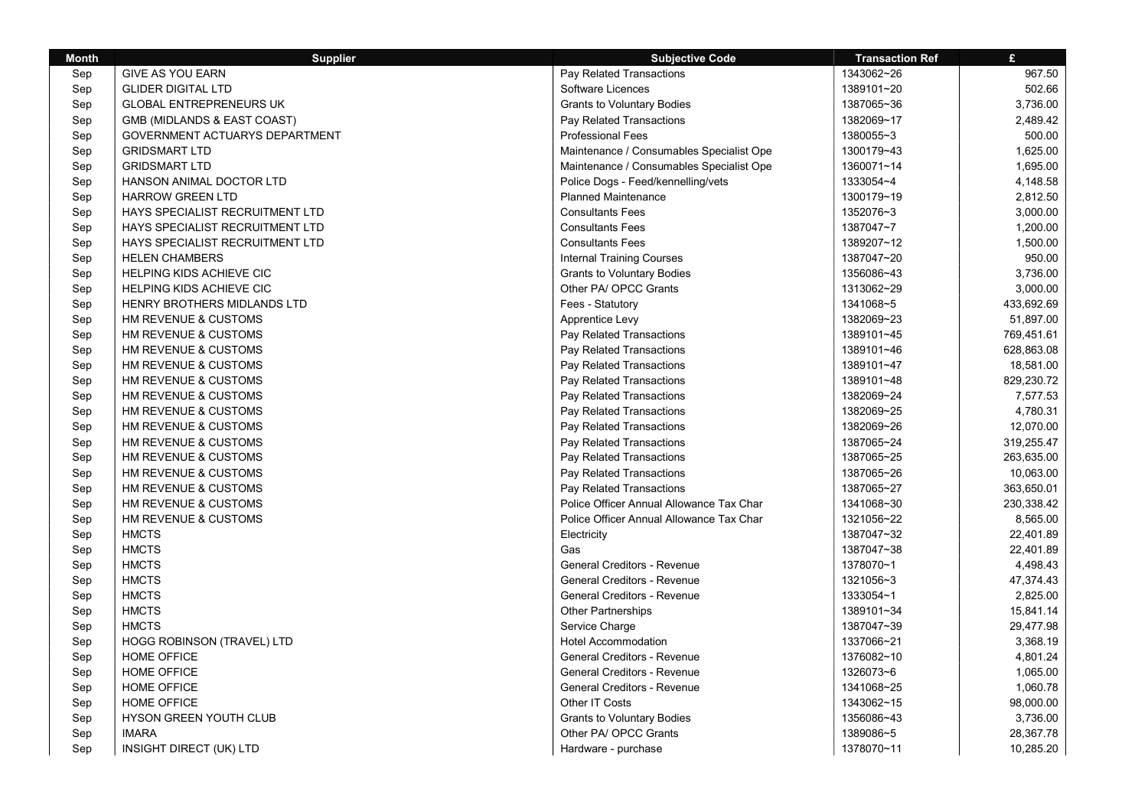| <b>Month</b> | <b>Supplier</b>                   | <b>Subjective Code</b>                   | <b>Transaction Ref</b> | $\mathbf{f}$ |
|--------------|-----------------------------------|------------------------------------------|------------------------|--------------|
| Sep          | <b>GIVE AS YOU EARN</b>           | Pay Related Transactions                 | 1343062~26             | 967.50       |
| Sep          | <b>GLIDER DIGITAL LTD</b>         | Software Licences                        | 1389101~20             | 502.66       |
| Sep          | <b>GLOBAL ENTREPRENEURS UK</b>    | <b>Grants to Voluntary Bodies</b>        | 1387065~36             | 3,736.00     |
| Sep          | GMB (MIDLANDS & EAST COAST)       | Pay Related Transactions                 | 1382069~17             | 2,489.42     |
| Sep          | GOVERNMENT ACTUARYS DEPARTMENT    | <b>Professional Fees</b>                 | 1380055~3              | 500.00       |
| Sep          | <b>GRIDSMART LTD</b>              | Maintenance / Consumables Specialist Ope | 1300179~43             | 1,625.00     |
| Sep          | <b>GRIDSMART LTD</b>              | Maintenance / Consumables Specialist Ope | 1360071~14             | 1,695.00     |
| Sep          | HANSON ANIMAL DOCTOR LTD          | Police Dogs - Feed/kennelling/vets       | 1333054~4              | 4,148.58     |
| Sep          | <b>HARROW GREEN LTD</b>           | <b>Planned Maintenance</b>               | 1300179~19             | 2,812.50     |
| Sep          | HAYS SPECIALIST RECRUITMENT LTD   | <b>Consultants Fees</b>                  | 1352076~3              | 3,000.00     |
| Sep          | HAYS SPECIALIST RECRUITMENT LTD   | <b>Consultants Fees</b>                  | 1387047~7              | 1,200.00     |
| Sep          | HAYS SPECIALIST RECRUITMENT LTD   | <b>Consultants Fees</b>                  | 1389207~12             | 1,500.00     |
| Sep          | <b>HELEN CHAMBERS</b>             | <b>Internal Training Courses</b>         | 1387047~20             | 950.00       |
| Sep          | HELPING KIDS ACHIEVE CIC          | <b>Grants to Voluntary Bodies</b>        | 1356086~43             | 3,736.00     |
| Sep          | <b>HELPING KIDS ACHIEVE CIC</b>   | Other PA/ OPCC Grants                    | 1313062~29             | 3,000.00     |
| Sep          | HENRY BROTHERS MIDLANDS LTD       | Fees - Statutory                         | 1341068~5              | 433,692.69   |
| Sep          | HM REVENUE & CUSTOMS              | Apprentice Levy                          | 1382069~23             | 51,897.00    |
| Sep          | HM REVENUE & CUSTOMS              | Pay Related Transactions                 | 1389101~45             | 769,451.61   |
| Sep          | HM REVENUE & CUSTOMS              | Pay Related Transactions                 | 1389101~46             | 628,863.08   |
| Sep          | HM REVENUE & CUSTOMS              | Pay Related Transactions                 | 1389101~47             | 18,581.00    |
| Sep          | HM REVENUE & CUSTOMS              | Pay Related Transactions                 | 1389101~48             | 829,230.72   |
| Sep          | HM REVENUE & CUSTOMS              | Pay Related Transactions                 | 1382069~24             | 7,577.53     |
| Sep          | HM REVENUE & CUSTOMS              | Pay Related Transactions                 | 1382069~25             | 4,780.31     |
| Sep          | HM REVENUE & CUSTOMS              | Pay Related Transactions                 | 1382069~26             | 12,070.00    |
| Sep          | HM REVENUE & CUSTOMS              | Pay Related Transactions                 | 1387065~24             | 319,255.47   |
| Sep          | HM REVENUE & CUSTOMS              | Pay Related Transactions                 | 1387065~25             | 263,635.00   |
| Sep          | HM REVENUE & CUSTOMS              | Pay Related Transactions                 | 1387065~26             | 10,063.00    |
| Sep          | HM REVENUE & CUSTOMS              | Pay Related Transactions                 | 1387065~27             | 363,650.01   |
| Sep          | HM REVENUE & CUSTOMS              | Police Officer Annual Allowance Tax Char | 1341068~30             | 230,338.42   |
| Sep          | HM REVENUE & CUSTOMS              | Police Officer Annual Allowance Tax Char | 1321056~22             | 8,565.00     |
| Sep          | <b>HMCTS</b>                      | Electricity                              | 1387047~32             | 22,401.89    |
| Sep          | <b>HMCTS</b>                      | Gas                                      | 1387047~38             | 22,401.89    |
| Sep          | <b>HMCTS</b>                      | General Creditors - Revenue              | 1378070~1              | 4,498.43     |
| Sep          | <b>HMCTS</b>                      | <b>General Creditors - Revenue</b>       | 1321056~3              | 47,374.43    |
| Sep          | <b>HMCTS</b>                      | <b>General Creditors - Revenue</b>       | 1333054~1              | 2,825.00     |
| Sep          | <b>HMCTS</b>                      | <b>Other Partnerships</b>                | 1389101~34             | 15,841.14    |
| Sep          | <b>HMCTS</b>                      | Service Charge                           | 1387047~39             | 29,477.98    |
| Sep          | <b>HOGG ROBINSON (TRAVEL) LTD</b> | <b>Hotel Accommodation</b>               | 1337066~21             | 3,368.19     |
| Sep          | <b>HOME OFFICE</b>                | <b>General Creditors - Revenue</b>       | 1376082~10             | 4,801.24     |
| Sep          | <b>HOME OFFICE</b>                | <b>General Creditors - Revenue</b>       | 1326073~6              | 1,065.00     |
| Sep          | <b>HOME OFFICE</b>                | <b>General Creditors - Revenue</b>       | 1341068~25             | 1,060.78     |
| Sep          | <b>HOME OFFICE</b>                | Other IT Costs                           | 1343062~15             | 98,000.00    |
| Sep          | HYSON GREEN YOUTH CLUB            | <b>Grants to Voluntary Bodies</b>        | 1356086~43             | 3,736.00     |
| Sep          | <b>IMARA</b>                      | Other PA/ OPCC Grants                    | 1389086~5              | 28,367.78    |
| Sep          | INSIGHT DIRECT (UK) LTD           | Hardware - purchase                      | 1378070~11             | 10,285.20    |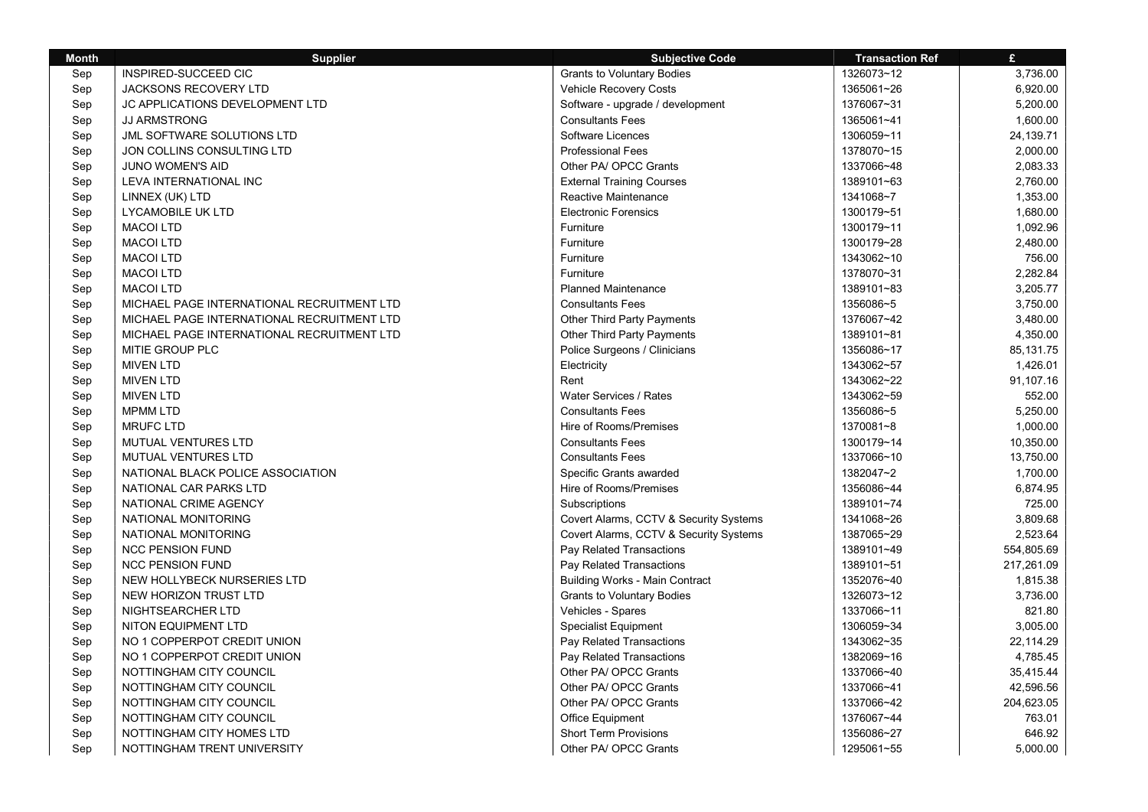| <b>Month</b> | <b>Supplier</b>                            | <b>Subjective Code</b>                 | <b>Transaction Ref</b> | $\mathbf{f}$ |
|--------------|--------------------------------------------|----------------------------------------|------------------------|--------------|
| Sep          | INSPIRED-SUCCEED CIC                       | <b>Grants to Voluntary Bodies</b>      | 1326073~12             | 3,736.00     |
| Sep          | <b>JACKSONS RECOVERY LTD</b>               | Vehicle Recovery Costs                 | 1365061~26             | 6,920.00     |
| Sep          | JC APPLICATIONS DEVELOPMENT LTD            | Software - upgrade / development       | 1376067~31             | 5,200.00     |
| Sep          | <b>JJ ARMSTRONG</b>                        | <b>Consultants Fees</b>                | 1365061~41             | 1,600.00     |
| Sep          | JML SOFTWARE SOLUTIONS LTD                 | Software Licences                      | 1306059~11             | 24,139.71    |
| Sep          | JON COLLINS CONSULTING LTD                 | <b>Professional Fees</b>               | 1378070~15             | 2,000.00     |
| Sep          | JUNO WOMEN'S AID                           | Other PA/ OPCC Grants                  | 1337066~48             | 2,083.33     |
| Sep          | LEVA INTERNATIONAL INC                     | <b>External Training Courses</b>       | 1389101~63             | 2,760.00     |
| Sep          | LINNEX (UK) LTD                            | Reactive Maintenance                   | 1341068~7              | 1,353.00     |
| Sep          | LYCAMOBILE UK LTD                          | <b>Electronic Forensics</b>            | 1300179~51             | 1,680.00     |
| Sep          | <b>MACOI LTD</b>                           | Furniture                              | 1300179~11             | 1,092.96     |
| Sep          | <b>MACOI LTD</b>                           | Furniture                              | 1300179~28             | 2,480.00     |
| Sep          | <b>MACOI LTD</b>                           | Furniture                              | 1343062~10             | 756.00       |
| Sep          | <b>MACOI LTD</b>                           | Furniture                              | 1378070~31             | 2.282.84     |
| Sep          | <b>MACOI LTD</b>                           | <b>Planned Maintenance</b>             | 1389101~83             | 3,205.77     |
| Sep          | MICHAEL PAGE INTERNATIONAL RECRUITMENT LTD | <b>Consultants Fees</b>                | 1356086~5              | 3,750.00     |
| Sep          | MICHAEL PAGE INTERNATIONAL RECRUITMENT LTD | <b>Other Third Party Payments</b>      | 1376067~42             | 3,480.00     |
| Sep          | MICHAEL PAGE INTERNATIONAL RECRUITMENT LTD | Other Third Party Payments             | 1389101~81             | 4,350.00     |
| Sep          | MITIE GROUP PLC                            | Police Surgeons / Clinicians           | 1356086~17             | 85,131.75    |
| Sep          | <b>MIVEN LTD</b>                           | Electricity                            | 1343062~57             | 1,426.01     |
| Sep          | <b>MIVEN LTD</b>                           | Rent                                   | 1343062~22             | 91,107.16    |
| Sep          | <b>MIVEN LTD</b>                           | Water Services / Rates                 | 1343062~59             | 552.00       |
| Sep          | <b>MPMM LTD</b>                            | <b>Consultants Fees</b>                | 1356086~5              | 5,250.00     |
| Sep          | <b>MRUFC LTD</b>                           | Hire of Rooms/Premises                 | 1370081~8              | 1,000.00     |
| Sep          | MUTUAL VENTURES LTD                        | <b>Consultants Fees</b>                | 1300179~14             | 10,350.00    |
| Sep          | MUTUAL VENTURES LTD                        | <b>Consultants Fees</b>                | 1337066~10             | 13,750.00    |
| Sep          | NATIONAL BLACK POLICE ASSOCIATION          | Specific Grants awarded                | 1382047~2              | 1.700.00     |
| Sep          | NATIONAL CAR PARKS LTD                     | Hire of Rooms/Premises                 | 1356086~44             | 6,874.95     |
| Sep          | NATIONAL CRIME AGENCY                      | Subscriptions                          | 1389101~74             | 725.00       |
| Sep          | NATIONAL MONITORING                        | Covert Alarms, CCTV & Security Systems | 1341068~26             | 3,809.68     |
| Sep          | NATIONAL MONITORING                        | Covert Alarms, CCTV & Security Systems | 1387065~29             | 2,523.64     |
| Sep          | <b>NCC PENSION FUND</b>                    | Pay Related Transactions               | 1389101~49             | 554,805.69   |
| Sep          | <b>NCC PENSION FUND</b>                    | Pay Related Transactions               | 1389101~51             | 217,261.09   |
| Sep          | NEW HOLLYBECK NURSERIES LTD                | <b>Building Works - Main Contract</b>  | 1352076~40             | 1,815.38     |
| Sep          | NEW HORIZON TRUST LTD                      | <b>Grants to Voluntary Bodies</b>      | 1326073~12             | 3,736.00     |
| Sep          | NIGHTSEARCHER LTD                          | Vehicles - Spares                      | 1337066~11             | 821.80       |
| Sep          | <b>NITON EQUIPMENT LTD</b>                 | <b>Specialist Equipment</b>            | 1306059~34             | 3,005.00     |
| Sep          | NO 1 COPPERPOT CREDIT UNION                | Pay Related Transactions               | 1343062~35             | 22,114.29    |
| Sep          | NO 1 COPPERPOT CREDIT UNION                | Pay Related Transactions               | 1382069~16             | 4,785.45     |
| Sep          | NOTTINGHAM CITY COUNCIL                    | Other PA/ OPCC Grants                  | 1337066~40             | 35,415.44    |
| Sep          | NOTTINGHAM CITY COUNCIL                    | Other PA/ OPCC Grants                  | 1337066~41             | 42,596.56    |
| Sep          | NOTTINGHAM CITY COUNCIL                    | Other PA/ OPCC Grants                  | 1337066~42             | 204,623.05   |
| Sep          | NOTTINGHAM CITY COUNCIL                    | <b>Office Equipment</b>                | 1376067~44             | 763.01       |
| Sep          | NOTTINGHAM CITY HOMES LTD                  | <b>Short Term Provisions</b>           | 1356086~27             | 646.92       |
| Sep          | NOTTINGHAM TRENT UNIVERSITY                | Other PA/ OPCC Grants                  | 1295061~55             | 5,000.00     |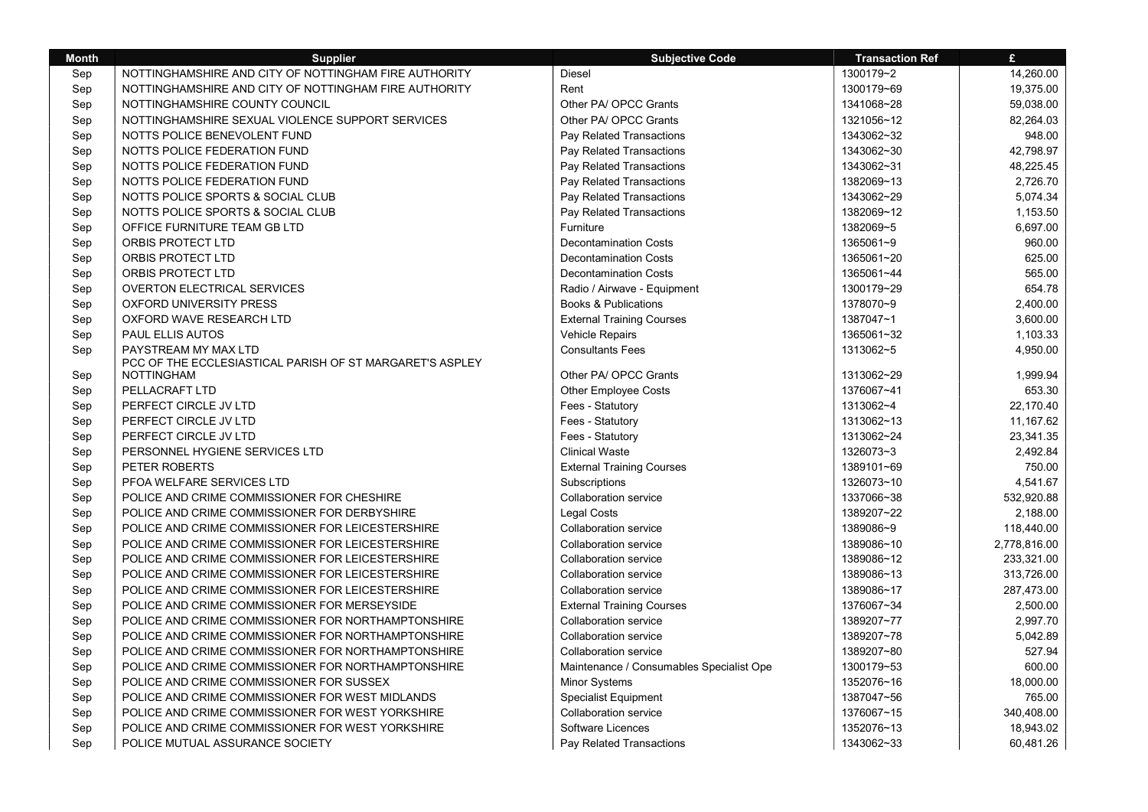| <b>Month</b> | <b>Supplier</b>                                                                  | <b>Subjective Code</b>                   | <b>Transaction Ref</b> | £            |
|--------------|----------------------------------------------------------------------------------|------------------------------------------|------------------------|--------------|
| Sep          | NOTTINGHAMSHIRE AND CITY OF NOTTINGHAM FIRE AUTHORITY                            | <b>Diesel</b>                            | 1300179~2              | 14,260.00    |
| Sep          | NOTTINGHAMSHIRE AND CITY OF NOTTINGHAM FIRE AUTHORITY                            | Rent                                     | 1300179~69             | 19,375.00    |
| Sep          | NOTTINGHAMSHIRE COUNTY COUNCIL                                                   | Other PA/ OPCC Grants                    | 1341068~28             | 59,038.00    |
| Sep          | NOTTINGHAMSHIRE SEXUAL VIOLENCE SUPPORT SERVICES                                 | Other PA/ OPCC Grants                    | 1321056~12             | 82,264.03    |
| Sep          | NOTTS POLICE BENEVOLENT FUND                                                     | Pay Related Transactions                 | 1343062~32             | 948.00       |
| Sep          | NOTTS POLICE FEDERATION FUND                                                     | Pay Related Transactions                 | 1343062~30             | 42,798.97    |
| Sep          | NOTTS POLICE FEDERATION FUND                                                     | Pay Related Transactions                 | 1343062~31             | 48.225.45    |
| Sep          | NOTTS POLICE FEDERATION FUND                                                     | Pay Related Transactions                 | 1382069~13             | 2.726.70     |
| Sep          | NOTTS POLICE SPORTS & SOCIAL CLUB                                                | Pay Related Transactions                 | 1343062~29             | 5.074.34     |
| Sep          | NOTTS POLICE SPORTS & SOCIAL CLUB                                                | Pay Related Transactions                 | 1382069~12             | 1,153.50     |
| Sep          | OFFICE FURNITURE TEAM GB LTD                                                     | Furniture                                | 1382069~5              | 6,697.00     |
| Sep          | ORBIS PROTECT LTD                                                                | <b>Decontamination Costs</b>             | 1365061~9              | 960.00       |
| Sep          | ORBIS PROTECT LTD                                                                | <b>Decontamination Costs</b>             | 1365061~20             | 625.00       |
| Sep          | ORBIS PROTECT LTD                                                                | <b>Decontamination Costs</b>             | 1365061~44             | 565.00       |
| Sep          | <b>OVERTON ELECTRICAL SERVICES</b>                                               | Radio / Airwave - Equipment              | 1300179~29             | 654.78       |
| Sep          | <b>OXFORD UNIVERSITY PRESS</b>                                                   | <b>Books &amp; Publications</b>          | 1378070~9              | 2,400.00     |
| Sep          | OXFORD WAVE RESEARCH LTD                                                         | <b>External Training Courses</b>         | 1387047~1              | 3,600.00     |
| Sep          | PAUL ELLIS AUTOS                                                                 | Vehicle Repairs                          | 1365061~32             | 1,103.33     |
| Sep          | PAYSTREAM MY MAX LTD<br>PCC OF THE ECCLESIASTICAL PARISH OF ST MARGARET'S ASPLEY | <b>Consultants Fees</b>                  | 1313062~5              | 4,950.00     |
| Sep          | <b>NOTTINGHAM</b>                                                                | Other PA/ OPCC Grants                    | 1313062~29             | 1,999.94     |
| Sep          | PELLACRAFT LTD                                                                   | <b>Other Employee Costs</b>              | 1376067~41             | 653.30       |
| Sep          | PERFECT CIRCLE JV LTD                                                            | Fees - Statutory                         | 1313062~4              | 22,170.40    |
| Sep          | PERFECT CIRCLE JV LTD                                                            | Fees - Statutory                         | 1313062~13             | 11,167.62    |
| Sep          | PERFECT CIRCLE JV LTD                                                            | Fees - Statutory                         | 1313062~24             | 23,341.35    |
| Sep          | PERSONNEL HYGIENE SERVICES LTD                                                   | <b>Clinical Waste</b>                    | 1326073~3              | 2,492.84     |
| Sep          | PETER ROBERTS                                                                    | <b>External Training Courses</b>         | 1389101~69             | 750.00       |
| Sep          | PFOA WELFARE SERVICES LTD                                                        | Subscriptions                            | 1326073~10             | 4,541.67     |
| Sep          | POLICE AND CRIME COMMISSIONER FOR CHESHIRE                                       | <b>Collaboration service</b>             | 1337066~38             | 532,920.88   |
| Sep          | POLICE AND CRIME COMMISSIONER FOR DERBYSHIRE                                     | Legal Costs                              | 1389207~22             | 2,188.00     |
| Sep          | POLICE AND CRIME COMMISSIONER FOR LEICESTERSHIRE                                 | <b>Collaboration service</b>             | 1389086~9              | 118,440.00   |
| Sep          | POLICE AND CRIME COMMISSIONER FOR LEICESTERSHIRE                                 | Collaboration service                    | 1389086~10             | 2,778,816.00 |
| Sep          | POLICE AND CRIME COMMISSIONER FOR LEICESTERSHIRE                                 | <b>Collaboration service</b>             | 1389086~12             | 233,321.00   |
| Sep          | POLICE AND CRIME COMMISSIONER FOR LEICESTERSHIRE                                 | <b>Collaboration service</b>             | 1389086~13             | 313,726.00   |
| Sep          | POLICE AND CRIME COMMISSIONER FOR LEICESTERSHIRE                                 | <b>Collaboration service</b>             | 1389086~17             | 287,473.00   |
| Sep          | POLICE AND CRIME COMMISSIONER FOR MERSEYSIDE                                     | <b>External Training Courses</b>         | 1376067~34             | 2,500.00     |
| Sep          | POLICE AND CRIME COMMISSIONER FOR NORTHAMPTONSHIRE                               | <b>Collaboration service</b>             | 1389207~77             | 2,997.70     |
| Sep          | POLICE AND CRIME COMMISSIONER FOR NORTHAMPTONSHIRE                               | Collaboration service                    | 1389207~78             | 5,042.89     |
| Sep          | POLICE AND CRIME COMMISSIONER FOR NORTHAMPTONSHIRE                               | <b>Collaboration service</b>             | 1389207~80             | 527.94       |
| Sep          | POLICE AND CRIME COMMISSIONER FOR NORTHAMPTONSHIRE                               | Maintenance / Consumables Specialist Ope | 1300179~53             | 600.00       |
| Sep          | POLICE AND CRIME COMMISSIONER FOR SUSSEX                                         | Minor Systems                            | 1352076~16             | 18,000.00    |
| Sep          | POLICE AND CRIME COMMISSIONER FOR WEST MIDLANDS                                  | Specialist Equipment                     | 1387047~56             | 765.00       |
| Sep          | POLICE AND CRIME COMMISSIONER FOR WEST YORKSHIRE                                 | <b>Collaboration service</b>             | 1376067~15             | 340,408.00   |
| Sep          | POLICE AND CRIME COMMISSIONER FOR WEST YORKSHIRE                                 | Software Licences                        | 1352076~13             | 18,943.02    |
| Sep          | POLICE MUTUAL ASSURANCE SOCIETY                                                  | Pay Related Transactions                 | 1343062~33             | 60,481.26    |

т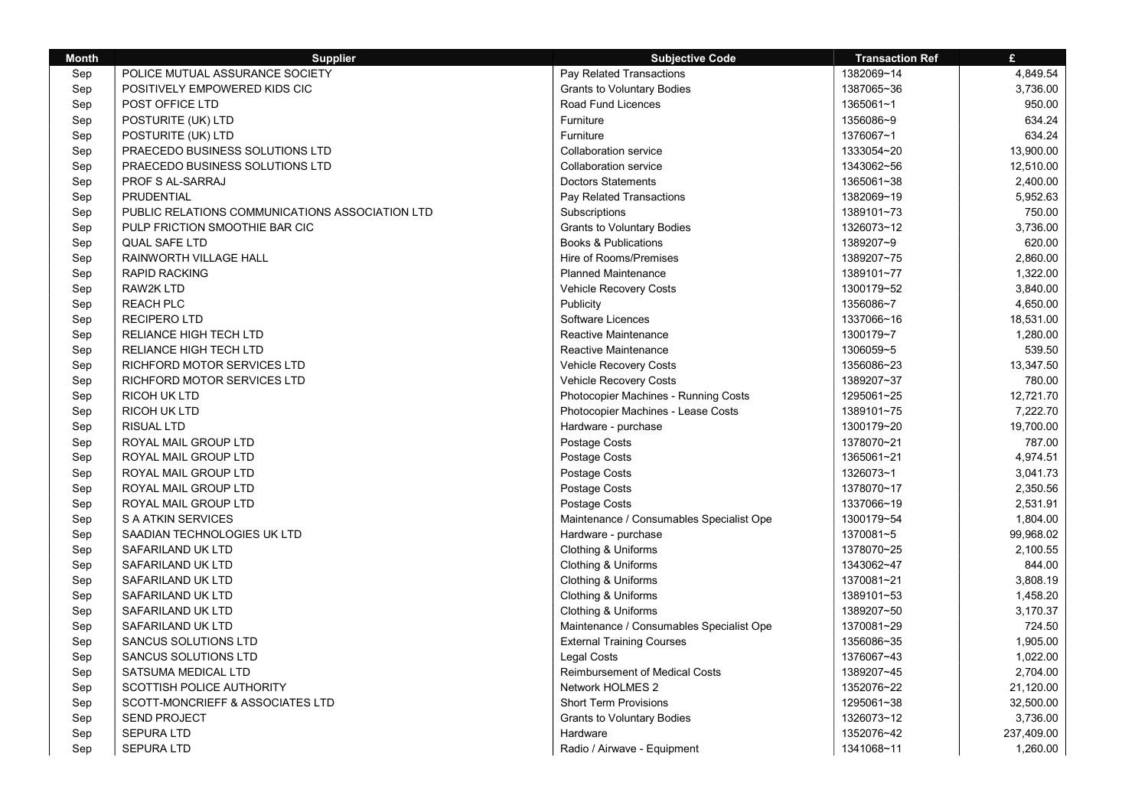| <b>Month</b> | <b>Supplier</b>                                 | <b>Subjective Code</b>                   | <b>Transaction Ref</b> | £          |
|--------------|-------------------------------------------------|------------------------------------------|------------------------|------------|
| Sep          | POLICE MUTUAL ASSURANCE SOCIETY                 | Pay Related Transactions                 | 1382069~14             | 4,849.54   |
| Sep          | POSITIVELY EMPOWERED KIDS CIC                   | <b>Grants to Voluntary Bodies</b>        | 1387065~36             | 3,736.00   |
| Sep          | POST OFFICE LTD                                 | Road Fund Licences                       | 1365061~1              | 950.00     |
| Sep          | POSTURITE (UK) LTD                              | Furniture                                | 1356086~9              | 634.24     |
| Sep          | POSTURITE (UK) LTD                              | Furniture                                | 1376067~1              | 634.24     |
| Sep          | PRAECEDO BUSINESS SOLUTIONS LTD                 | <b>Collaboration service</b>             | 1333054~20             | 13,900.00  |
| Sep          | PRAECEDO BUSINESS SOLUTIONS LTD                 | Collaboration service                    | 1343062~56             | 12,510.00  |
| Sep          | PROF S AL-SARRAJ                                | <b>Doctors Statements</b>                | 1365061~38             | 2,400.00   |
| Sep          | PRUDENTIAL                                      | Pay Related Transactions                 | 1382069~19             | 5,952.63   |
| Sep          | PUBLIC RELATIONS COMMUNICATIONS ASSOCIATION LTD | Subscriptions                            | 1389101~73             | 750.00     |
| Sep          | PULP FRICTION SMOOTHIE BAR CIC                  | <b>Grants to Voluntary Bodies</b>        | 1326073~12             | 3,736.00   |
| Sep          | <b>QUAL SAFE LTD</b>                            | <b>Books &amp; Publications</b>          | 1389207~9              | 620.00     |
| Sep          | RAINWORTH VILLAGE HALL                          | Hire of Rooms/Premises                   | 1389207~75             | 2,860.00   |
| Sep          | <b>RAPID RACKING</b>                            | <b>Planned Maintenance</b>               | 1389101~77             | 1,322.00   |
| Sep          | RAW2K LTD                                       | Vehicle Recovery Costs                   | 1300179~52             | 3,840.00   |
| Sep          | <b>REACH PLC</b>                                | Publicity                                | 1356086~7              | 4,650.00   |
| Sep          | <b>RECIPERO LTD</b>                             | Software Licences                        | 1337066~16             | 18,531.00  |
| Sep          | <b>RELIANCE HIGH TECH LTD</b>                   | Reactive Maintenance                     | 1300179~7              | 1,280.00   |
| Sep          | RELIANCE HIGH TECH LTD                          | Reactive Maintenance                     | 1306059~5              | 539.50     |
| Sep          | RICHFORD MOTOR SERVICES LTD                     | Vehicle Recovery Costs                   | 1356086~23             | 13,347.50  |
| Sep          | RICHFORD MOTOR SERVICES LTD                     | Vehicle Recovery Costs                   | 1389207~37             | 780.00     |
| Sep          | <b>RICOH UK LTD</b>                             | Photocopier Machines - Running Costs     | 1295061~25             | 12,721.70  |
| Sep          | <b>RICOH UK LTD</b>                             | Photocopier Machines - Lease Costs       | 1389101~75             | 7,222.70   |
| Sep          | <b>RISUAL LTD</b>                               | Hardware - purchase                      | 1300179~20             | 19,700.00  |
| Sep          | ROYAL MAIL GROUP LTD                            | Postage Costs                            | 1378070~21             | 787.00     |
| Sep          | ROYAL MAIL GROUP LTD                            | Postage Costs                            | 1365061~21             | 4,974.51   |
| Sep          | ROYAL MAIL GROUP LTD                            | Postage Costs                            | 1326073~1              | 3,041.73   |
| Sep          | ROYAL MAIL GROUP LTD                            | Postage Costs                            | 1378070~17             | 2,350.56   |
| Sep          | ROYAL MAIL GROUP LTD                            | Postage Costs                            | 1337066~19             | 2,531.91   |
| Sep          | S A ATKIN SERVICES                              | Maintenance / Consumables Specialist Ope | 1300179~54             | 1,804.00   |
| Sep          | SAADIAN TECHNOLOGIES UK LTD                     | Hardware - purchase                      | 1370081~5              | 99,968.02  |
| Sep          | SAFARILAND UK LTD                               | Clothing & Uniforms                      | 1378070~25             | 2,100.55   |
| Sep          | SAFARILAND UK LTD                               | Clothing & Uniforms                      | 1343062~47             | 844.00     |
| Sep          | SAFARILAND UK LTD                               | Clothing & Uniforms                      | 1370081~21             | 3,808.19   |
| Sep          | SAFARILAND UK LTD                               | Clothing & Uniforms                      | 1389101~53             | 1,458.20   |
| Sep          | SAFARILAND UK LTD                               | Clothing & Uniforms                      | 1389207~50             | 3,170.37   |
| Sep          | SAFARILAND UK LTD                               | Maintenance / Consumables Specialist Ope | 1370081~29             | 724.50     |
| Sep          | <b>SANCUS SOLUTIONS LTD</b>                     | <b>External Training Courses</b>         | 1356086~35             | 1,905.00   |
| Sep          | SANCUS SOLUTIONS LTD                            | <b>Legal Costs</b>                       | 1376067~43             | 1,022.00   |
| Sep          | SATSUMA MEDICAL LTD                             | <b>Reimbursement of Medical Costs</b>    | 1389207~45             | 2,704.00   |
| Sep          | SCOTTISH POLICE AUTHORITY                       | Network HOLMES 2                         | 1352076~22             | 21,120.00  |
| Sep          | SCOTT-MONCRIEFF & ASSOCIATES LTD                | <b>Short Term Provisions</b>             | 1295061~38             | 32,500.00  |
| Sep          | <b>SEND PROJECT</b>                             | <b>Grants to Voluntary Bodies</b>        | 1326073~12             | 3,736.00   |
| Sep          | <b>SEPURA LTD</b>                               | Hardware                                 | 1352076~42             | 237,409.00 |
| Sep          | <b>SEPURA LTD</b>                               | Radio / Airwave - Equipment              | 1341068~11             | 1,260.00   |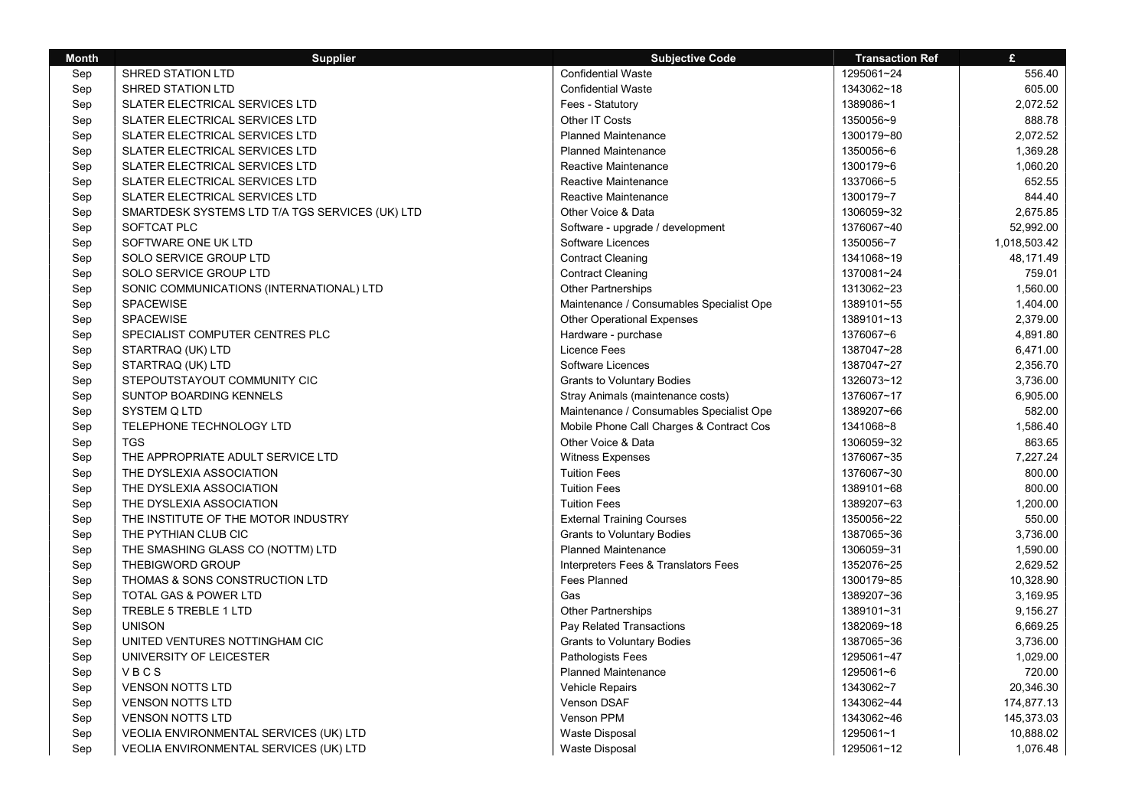| <b>Month</b> | <b>Supplier</b>                                 | <b>Subjective Code</b>                   | <b>Transaction Ref</b> | £            |
|--------------|-------------------------------------------------|------------------------------------------|------------------------|--------------|
| Sep          | <b>SHRED STATION LTD</b>                        | <b>Confidential Waste</b>                | 1295061~24             | 556.40       |
| Sep          | SHRED STATION LTD                               | <b>Confidential Waste</b>                | 1343062~18             | 605.00       |
| Sep          | SLATER ELECTRICAL SERVICES LTD                  | Fees - Statutory                         | 1389086~1              | 2,072.52     |
| Sep          | SLATER ELECTRICAL SERVICES LTD                  | Other IT Costs                           | 1350056~9              | 888.78       |
| Sep          | SLATER ELECTRICAL SERVICES LTD                  | <b>Planned Maintenance</b>               | 1300179~80             | 2,072.52     |
| Sep          | SLATER ELECTRICAL SERVICES LTD                  | <b>Planned Maintenance</b>               | 1350056~6              | 1,369.28     |
| Sep          | <b>SLATER ELECTRICAL SERVICES LTD</b>           | Reactive Maintenance                     | 1300179~6              | 1.060.20     |
| Sep          | SLATER ELECTRICAL SERVICES LTD                  | Reactive Maintenance                     | 1337066~5              | 652.55       |
| Sep          | SLATER ELECTRICAL SERVICES LTD                  | Reactive Maintenance                     | 1300179~7              | 844.40       |
| Sep          | SMARTDESK SYSTEMS LTD T/A TGS SERVICES (UK) LTD | Other Voice & Data                       | 1306059~32             | 2,675.85     |
| Sep          | SOFTCAT PLC                                     | Software - upgrade / development         | 1376067~40             | 52,992.00    |
| Sep          | SOFTWARE ONE UK LTD                             | Software Licences                        | 1350056~7              | 1,018,503.42 |
| Sep          | SOLO SERVICE GROUP LTD                          | <b>Contract Cleaning</b>                 | 1341068~19             | 48,171.49    |
| Sep          | SOLO SERVICE GROUP LTD                          | <b>Contract Cleaning</b>                 | 1370081~24             | 759.01       |
| Sep          | SONIC COMMUNICATIONS (INTERNATIONAL) LTD        | Other Partnerships                       | 1313062~23             | 1,560.00     |
| Sep          | <b>SPACEWISE</b>                                | Maintenance / Consumables Specialist Ope | 1389101~55             | 1,404.00     |
| Sep          | <b>SPACEWISE</b>                                | <b>Other Operational Expenses</b>        | 1389101~13             | 2,379.00     |
| Sep          | SPECIALIST COMPUTER CENTRES PLC                 | Hardware - purchase                      | 1376067~6              | 4,891.80     |
| Sep          | STARTRAQ (UK) LTD                               | Licence Fees                             | 1387047~28             | 6,471.00     |
| Sep          | STARTRAQ (UK) LTD                               | Software Licences                        | 1387047~27             | 2,356.70     |
| Sep          | STEPOUTSTAYOUT COMMUNITY CIC                    | <b>Grants to Voluntary Bodies</b>        | 1326073~12             | 3,736.00     |
| Sep          | <b>SUNTOP BOARDING KENNELS</b>                  | Stray Animals (maintenance costs)        | 1376067~17             | 6,905.00     |
| Sep          | <b>SYSTEM Q LTD</b>                             | Maintenance / Consumables Specialist Ope | 1389207~66             | 582.00       |
| Sep          | TELEPHONE TECHNOLOGY LTD                        | Mobile Phone Call Charges & Contract Cos | 1341068~8              | 1,586.40     |
| Sep          | <b>TGS</b>                                      | Other Voice & Data                       | 1306059~32             | 863.65       |
| Sep          | THE APPROPRIATE ADULT SERVICE LTD               | Witness Expenses                         | 1376067~35             | 7,227.24     |
| Sep          | THE DYSLEXIA ASSOCIATION                        | <b>Tuition Fees</b>                      | 1376067~30             | 800.00       |
| Sep          | THE DYSLEXIA ASSOCIATION                        | <b>Tuition Fees</b>                      | 1389101~68             | 800.00       |
| Sep          | THE DYSLEXIA ASSOCIATION                        | <b>Tuition Fees</b>                      | 1389207~63             | 1,200.00     |
| Sep          | THE INSTITUTE OF THE MOTOR INDUSTRY             | <b>External Training Courses</b>         | 1350056~22             | 550.00       |
| Sep          | THE PYTHIAN CLUB CIC                            | <b>Grants to Voluntary Bodies</b>        | 1387065~36             | 3,736.00     |
| Sep          | THE SMASHING GLASS CO (NOTTM) LTD               | <b>Planned Maintenance</b>               | 1306059~31             | 1,590.00     |
| Sep          | THEBIGWORD GROUP                                | Interpreters Fees & Translators Fees     | 1352076~25             | 2,629.52     |
| Sep          | THOMAS & SONS CONSTRUCTION LTD                  | Fees Planned                             | 1300179~85             | 10,328.90    |
| Sep          | TOTAL GAS & POWER LTD                           | Gas                                      | 1389207~36             | 3,169.95     |
| Sep          | TREBLE 5 TREBLE 1 LTD                           | Other Partnerships                       | 1389101~31             | 9,156.27     |
| Sep          | <b>UNISON</b>                                   | Pay Related Transactions                 | 1382069~18             | 6,669.25     |
| Sep          | UNITED VENTURES NOTTINGHAM CIC                  | <b>Grants to Voluntary Bodies</b>        | 1387065~36             | 3,736.00     |
| Sep          | UNIVERSITY OF LEICESTER                         | Pathologists Fees                        | 1295061~47             | 1,029.00     |
| Sep          | VBCS                                            | <b>Planned Maintenance</b>               | 1295061~6              | 720.00       |
| Sep          | <b>VENSON NOTTS LTD</b>                         | Vehicle Repairs                          | 1343062~7              | 20,346.30    |
| Sep          | <b>VENSON NOTTS LTD</b>                         | Venson DSAF                              | 1343062~44             | 174,877.13   |
| Sep          | <b>VENSON NOTTS LTD</b>                         | Venson PPM                               | 1343062~46             | 145,373.03   |
| Sep          | VEOLIA ENVIRONMENTAL SERVICES (UK) LTD          | <b>Waste Disposal</b>                    | 1295061~1              | 10,888.02    |
| Sep          | VEOLIA ENVIRONMENTAL SERVICES (UK) LTD          | <b>Waste Disposal</b>                    | 1295061~12             | 1,076.48     |